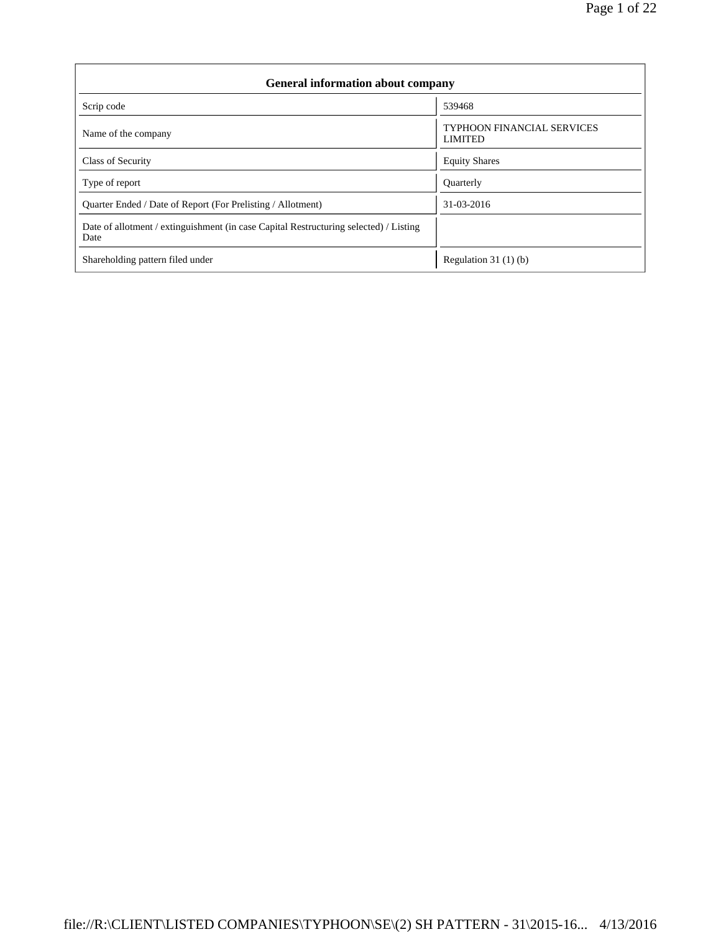| <b>General information about company</b>                                                      |                                                     |  |  |  |  |  |  |
|-----------------------------------------------------------------------------------------------|-----------------------------------------------------|--|--|--|--|--|--|
| Scrip code                                                                                    | 539468                                              |  |  |  |  |  |  |
| Name of the company                                                                           | <b>TYPHOON FINANCIAL SERVICES</b><br><b>LIMITED</b> |  |  |  |  |  |  |
| Class of Security                                                                             | <b>Equity Shares</b>                                |  |  |  |  |  |  |
| Type of report                                                                                | Quarterly                                           |  |  |  |  |  |  |
| Quarter Ended / Date of Report (For Prelisting / Allotment)                                   | 31-03-2016                                          |  |  |  |  |  |  |
| Date of allotment / extinguishment (in case Capital Restructuring selected) / Listing<br>Date |                                                     |  |  |  |  |  |  |
| Shareholding pattern filed under                                                              | Regulation 31 $(1)(b)$                              |  |  |  |  |  |  |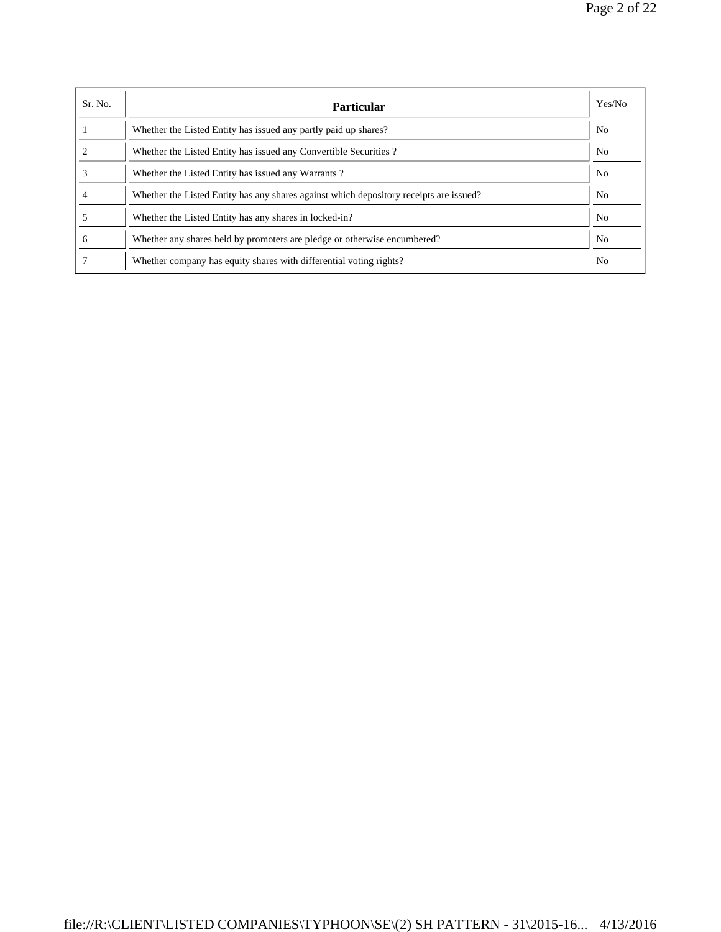| Sr. No.      | <b>Particular</b>                                                                      | Yes/No         |
|--------------|----------------------------------------------------------------------------------------|----------------|
|              | Whether the Listed Entity has issued any partly paid up shares?                        | N <sub>o</sub> |
|              | Whether the Listed Entity has issued any Convertible Securities?                       | N <sub>0</sub> |
|              | Whether the Listed Entity has issued any Warrants?                                     | N <sub>o</sub> |
|              | Whether the Listed Entity has any shares against which depository receipts are issued? | No             |
|              | Whether the Listed Entity has any shares in locked-in?                                 | N <sub>0</sub> |
| <sub>0</sub> | Whether any shares held by promoters are pledge or otherwise encumbered?               | N <sub>0</sub> |
|              | Whether company has equity shares with differential voting rights?                     | N <sub>0</sub> |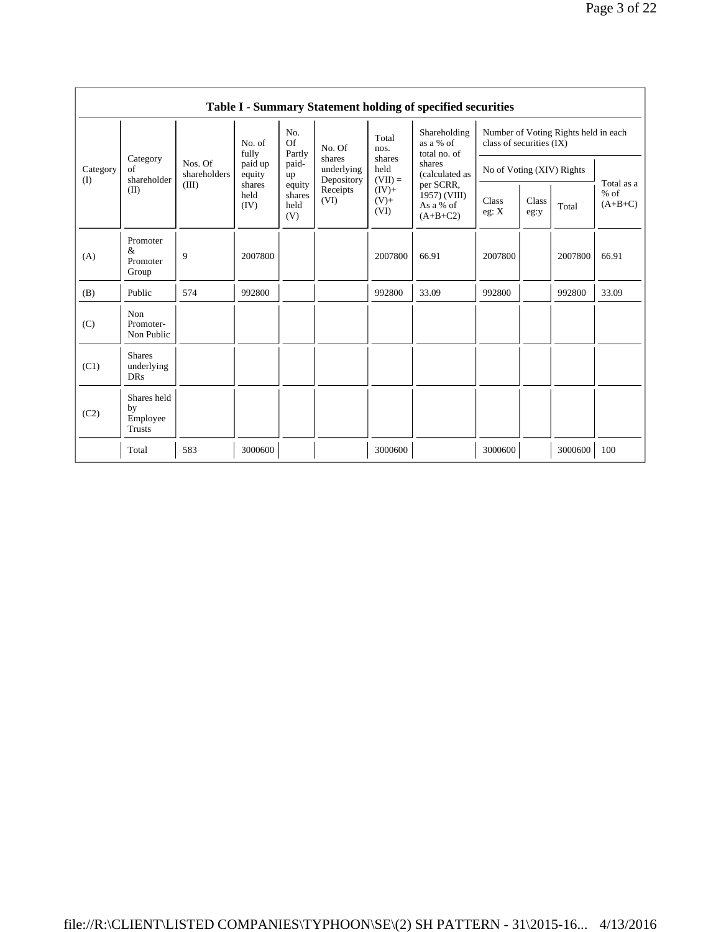|                 | Table I - Summary Statement holding of specified securities |                                  |                        |                                 |                                                                  |                                                            |                                                                                    |                                                                  |               |         |                                   |
|-----------------|-------------------------------------------------------------|----------------------------------|------------------------|---------------------------------|------------------------------------------------------------------|------------------------------------------------------------|------------------------------------------------------------------------------------|------------------------------------------------------------------|---------------|---------|-----------------------------------|
|                 | Category<br>of<br>shareholder<br>(II)                       | Nos. Of<br>shareholders<br>(III) | No. of<br>fully        | No.<br>Of<br>Partly             | No. Of<br>shares<br>underlying<br>Depository<br>Receipts<br>(VI) | Total<br>nos.                                              | Shareholding<br>as a % of<br>total no. of                                          | Number of Voting Rights held in each<br>class of securities (IX) |               |         |                                   |
| Category<br>(I) |                                                             |                                  | paid up<br>equity      | paid-<br>up                     |                                                                  | shares<br>held<br>$(VII) =$<br>$(IV)$ +<br>$(V) +$<br>(VI) | shares<br>(calculated as<br>per SCRR,<br>$1957)$ (VIII)<br>As a % of<br>$(A+B+C2)$ | No of Voting (XIV) Rights                                        |               |         |                                   |
|                 |                                                             |                                  | shares<br>held<br>(IV) | equity<br>shares<br>held<br>(V) |                                                                  |                                                            |                                                                                    | Class<br>eg: X                                                   | Class<br>eg:y | Total   | Total as a<br>$%$ of<br>$(A+B+C)$ |
| (A)             | Promoter<br>&<br>Promoter<br>Group                          | 9                                | 2007800                |                                 |                                                                  | 2007800                                                    | 66.91                                                                              | 2007800                                                          |               | 2007800 | 66.91                             |
| (B)             | Public                                                      | 574                              | 992800                 |                                 |                                                                  | 992800                                                     | 33.09                                                                              | 992800                                                           |               | 992800  | 33.09                             |
| (C)             | Non<br>Promoter-<br>Non Public                              |                                  |                        |                                 |                                                                  |                                                            |                                                                                    |                                                                  |               |         |                                   |
| (C1)            | <b>Shares</b><br>underlying<br><b>DRs</b>                   |                                  |                        |                                 |                                                                  |                                                            |                                                                                    |                                                                  |               |         |                                   |
| (C2)            | Shares held<br>by<br>Employee<br>Trusts                     |                                  |                        |                                 |                                                                  |                                                            |                                                                                    |                                                                  |               |         |                                   |
|                 | Total                                                       | 583                              | 3000600                |                                 |                                                                  | 3000600                                                    |                                                                                    | 3000600                                                          |               | 3000600 | 100                               |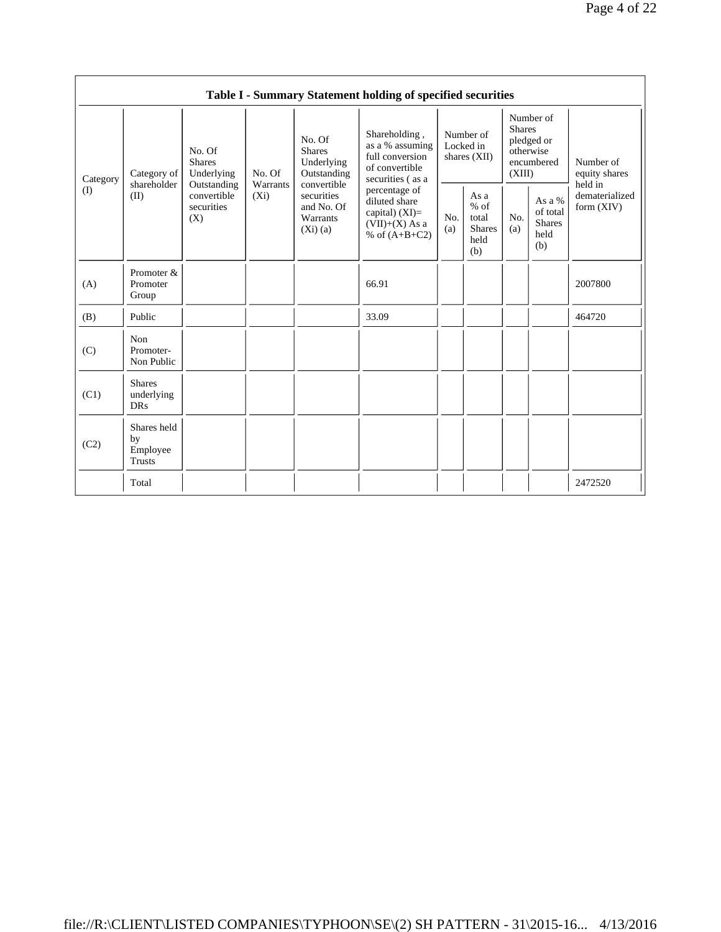|                 | Table I - Summary Statement holding of specified securities |                                                                                                                           |                                                      |                                                                                            |                                                                                           |                                                         |            |                                                                               |                                |                                       |
|-----------------|-------------------------------------------------------------|---------------------------------------------------------------------------------------------------------------------------|------------------------------------------------------|--------------------------------------------------------------------------------------------|-------------------------------------------------------------------------------------------|---------------------------------------------------------|------------|-------------------------------------------------------------------------------|--------------------------------|---------------------------------------|
| Category<br>(I) | Category of<br>shareholder<br>(II)                          | No. Of<br><b>Shares</b><br>Underlying<br>No. Of<br>Warrants<br>Outstanding<br>convertible<br>$(X_i)$<br>securities<br>(X) |                                                      | No. Of<br><b>Shares</b><br>Underlying<br>Outstanding<br>convertible                        | Shareholding,<br>as a % assuming<br>full conversion<br>of convertible<br>securities (as a | Number of<br>Locked in<br>shares $(XII)$                |            | Number of<br><b>Shares</b><br>pledged or<br>otherwise<br>encumbered<br>(XIII) |                                | Number of<br>equity shares<br>held in |
|                 |                                                             |                                                                                                                           | securities<br>and No. Of<br>Warrants<br>$(Xi)$ $(a)$ | percentage of<br>diluted share<br>capital) $(XI)$ =<br>$(VII)+(X)$ As a<br>% of $(A+B+C2)$ | No.<br>(a)                                                                                | As a<br>$%$ of<br>total<br><b>Shares</b><br>held<br>(b) | No.<br>(a) | As a %<br>of total<br><b>Shares</b><br>held<br>(b)                            | dematerialized<br>form $(XIV)$ |                                       |
| (A)             | Promoter &<br>Promoter<br>Group                             |                                                                                                                           |                                                      |                                                                                            | 66.91                                                                                     |                                                         |            |                                                                               |                                | 2007800                               |
| (B)             | Public                                                      |                                                                                                                           |                                                      |                                                                                            | 33.09                                                                                     |                                                         |            |                                                                               |                                | 464720                                |
| (C)             | Non<br>Promoter-<br>Non Public                              |                                                                                                                           |                                                      |                                                                                            |                                                                                           |                                                         |            |                                                                               |                                |                                       |
| (C1)            | <b>Shares</b><br>underlying<br><b>DRs</b>                   |                                                                                                                           |                                                      |                                                                                            |                                                                                           |                                                         |            |                                                                               |                                |                                       |
| (C2)            | Shares held<br>by<br>Employee<br>Trusts                     |                                                                                                                           |                                                      |                                                                                            |                                                                                           |                                                         |            |                                                                               |                                |                                       |
|                 | Total                                                       |                                                                                                                           |                                                      |                                                                                            |                                                                                           |                                                         |            |                                                                               |                                | 2472520                               |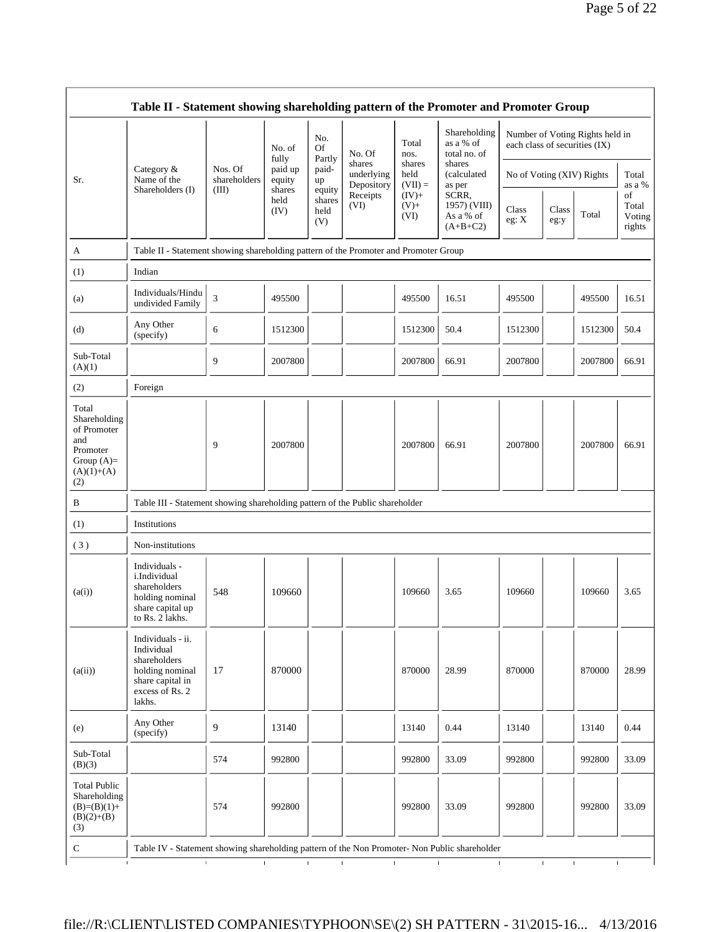|                                                                                                | Table II - Statement showing shareholding pattern of the Promoter and Promoter Group                                |                                  |                                      |                                 |                                    |                             |                                                  |                               |               |                                 |                                                    |
|------------------------------------------------------------------------------------------------|---------------------------------------------------------------------------------------------------------------------|----------------------------------|--------------------------------------|---------------------------------|------------------------------------|-----------------------------|--------------------------------------------------|-------------------------------|---------------|---------------------------------|----------------------------------------------------|
|                                                                                                |                                                                                                                     |                                  | No. of<br>fully<br>paid up<br>equity | No.<br>Of                       | No. Of                             | Total<br>nos.               | Shareholding<br>as a % of<br>total no. of        | each class of securities (IX) |               | Number of Voting Rights held in |                                                    |
| Sr.                                                                                            | Category &<br>Name of the                                                                                           | Nos. Of<br>shareholders<br>(III) |                                      | Partly<br>paid-<br>up           | shares<br>underlying<br>Depository | shares<br>held<br>$(VII) =$ | shares<br>(calculated<br>as per                  | No of Voting (XIV) Rights     |               |                                 | Total<br>as a %<br>of<br>Total<br>Voting<br>rights |
|                                                                                                | Shareholders (I)                                                                                                    |                                  | shares<br>held<br>(IV)               | equity<br>shares<br>held<br>(V) | Receipts<br>(VI)                   | $(IV)+$<br>$(V)$ +<br>(VI)  | SCRR,<br>1957) (VIII)<br>As a % of<br>$(A+B+C2)$ | Class<br>eg: X                | Class<br>eg:y | Total                           |                                                    |
| A                                                                                              | Table II - Statement showing shareholding pattern of the Promoter and Promoter Group                                |                                  |                                      |                                 |                                    |                             |                                                  |                               |               |                                 |                                                    |
| (1)                                                                                            | Indian                                                                                                              |                                  |                                      |                                 |                                    |                             |                                                  |                               |               |                                 |                                                    |
| (a)                                                                                            | Individuals/Hindu<br>undivided Family                                                                               | 3                                | 495500                               |                                 |                                    | 495500                      | 16.51                                            | 495500                        |               | 495500                          | 16.51                                              |
| (d)                                                                                            | Any Other<br>(specify)                                                                                              | 6                                | 1512300                              |                                 |                                    | 1512300                     | 50.4                                             | 1512300                       |               | 1512300                         | 50.4                                               |
| Sub-Total<br>(A)(1)                                                                            |                                                                                                                     | 9                                | 2007800                              |                                 |                                    | 2007800                     | 66.91                                            | 2007800                       |               | 2007800                         | 66.91                                              |
| (2)                                                                                            | Foreign                                                                                                             |                                  |                                      |                                 |                                    |                             |                                                  |                               |               |                                 |                                                    |
| Total<br>Shareholding<br>of Promoter<br>and<br>Promoter<br>Group $(A)=$<br>$(A)(1)+(A)$<br>(2) |                                                                                                                     | 9                                | 2007800                              |                                 |                                    | 2007800                     | 66.91                                            | 2007800                       |               | 2007800                         | 66.91                                              |
| B                                                                                              | Table III - Statement showing shareholding pattern of the Public shareholder                                        |                                  |                                      |                                 |                                    |                             |                                                  |                               |               |                                 |                                                    |
| (1)                                                                                            | Institutions                                                                                                        |                                  |                                      |                                 |                                    |                             |                                                  |                               |               |                                 |                                                    |
| (3)                                                                                            | Non-institutions                                                                                                    |                                  |                                      |                                 |                                    |                             |                                                  |                               |               |                                 |                                                    |
| (a(i))                                                                                         | Individuals -<br>i.Individual<br>shareholders<br>holding nominal<br>share capital up<br>to Rs. 2 lakhs.             | 548                              | 109660                               |                                 |                                    | 109660                      | 3.65                                             | 109660                        |               | 109660                          | 3.65                                               |
| (a(ii))                                                                                        | Individuals - ii.<br>Individual<br>shareholders<br>holding nominal<br>share capital in<br>excess of Rs. 2<br>lakhs. | 17                               | 870000                               |                                 |                                    | 870000                      | 28.99                                            | 870000                        |               | 870000                          | 28.99                                              |
| (e)                                                                                            | Any Other<br>(specify)                                                                                              | 9                                | 13140                                |                                 |                                    | 13140                       | 0.44                                             | 13140                         |               | 13140                           | 0.44                                               |
| Sub-Total<br>(B)(3)                                                                            |                                                                                                                     | 574                              | 992800                               |                                 |                                    | 992800                      | 33.09                                            | 992800                        |               | 992800                          | 33.09                                              |
| <b>Total Public</b><br>Shareholding<br>$(B)=(B)(1)+$<br>$(B)(2)+(B)$<br>(3)                    |                                                                                                                     | 574                              | 992800                               |                                 |                                    | 992800                      | 33.09                                            | 992800                        |               | 992800                          | 33.09                                              |
| ${\bf C}$                                                                                      | Table IV - Statement showing shareholding pattern of the Non Promoter- Non Public shareholder                       |                                  |                                      |                                 |                                    |                             |                                                  |                               |               |                                 |                                                    |
| $\mathbf{I}$                                                                                   | $\mathbf{r}$                                                                                                        |                                  | $\mathbf{L}$<br>$\mathbf{I}$         | $\mathbf{I}$                    | $\mathbf{I}$                       | $\mathbf{I}$                |                                                  | $\mathbf I$                   | $\mathbf{I}$  | $\mathbf{I}$                    | $\mathbf{I}$                                       |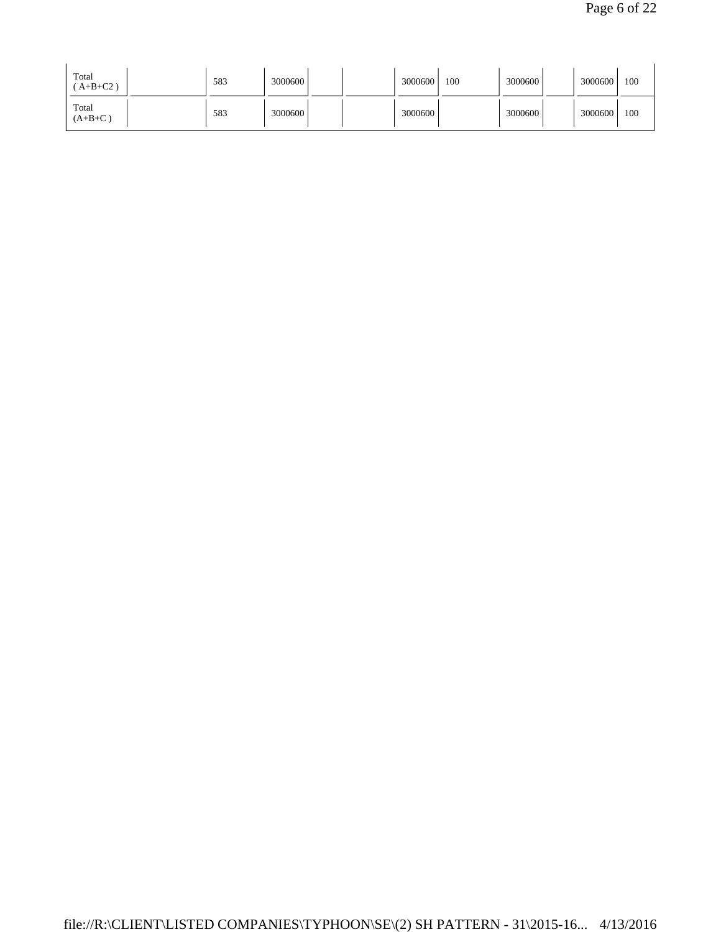| Total<br>$(A+B+C2)$ | 583 | 3000600 |  | 3000600 | 100 | 3000600 | 3000600 | 100 |
|---------------------|-----|---------|--|---------|-----|---------|---------|-----|
| Total<br>$(A+B+C)$  | 583 | 3000600 |  | 3000600 |     | 3000600 | 3000600 | 100 |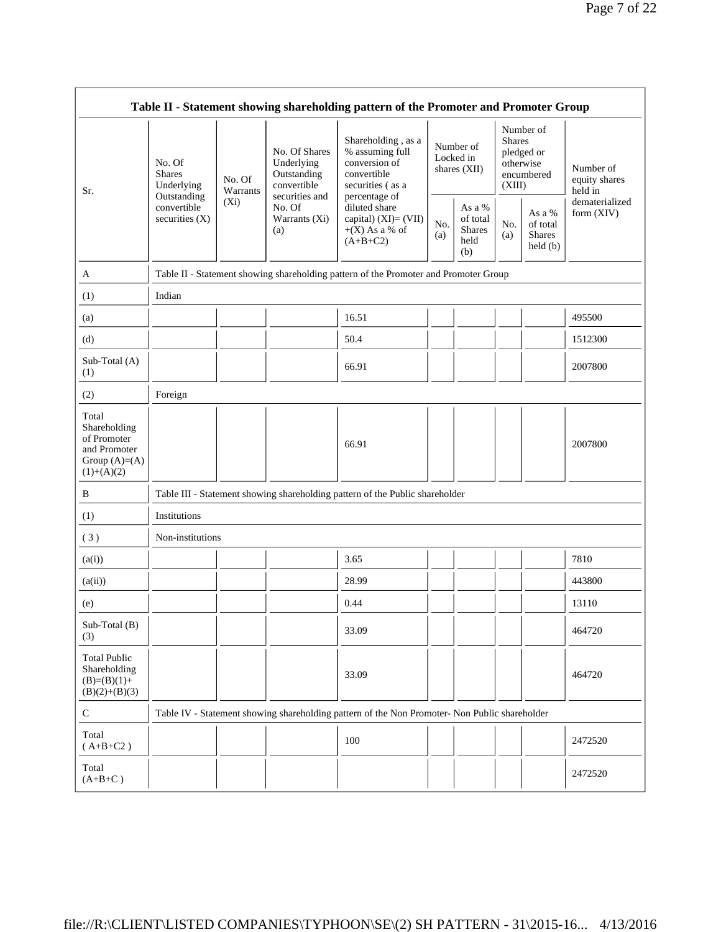|                                                                                         | Table II - Statement showing shareholding pattern of the Promoter and Promoter Group |                                           |                                                                             |                                                                                               |                                          |                                                    |                                                                               |                                                                |                                       |
|-----------------------------------------------------------------------------------------|--------------------------------------------------------------------------------------|-------------------------------------------|-----------------------------------------------------------------------------|-----------------------------------------------------------------------------------------------|------------------------------------------|----------------------------------------------------|-------------------------------------------------------------------------------|----------------------------------------------------------------|---------------------------------------|
| Sr.                                                                                     | No. Of<br><b>Shares</b><br>Underlying<br>Outstanding                                 | No. Of<br>Warrants                        | No. Of Shares<br>Underlying<br>Outstanding<br>convertible<br>securities and | Shareholding, as a<br>% assuming full<br>conversion of<br>convertible<br>securities (as a     | Number of<br>Locked in<br>shares $(XII)$ |                                                    | Number of<br><b>Shares</b><br>pledged or<br>otherwise<br>encumbered<br>(XIII) |                                                                | Number of<br>equity shares<br>held in |
|                                                                                         | convertible<br>securities $(X)$                                                      | $(X_i)$<br>No. Of<br>Warrants (Xi)<br>(a) |                                                                             | percentage of<br>diluted share<br>capital) $(XI) = (VII)$<br>$+(X)$ As a % of<br>$(A+B+C2)$   | No.<br>(a)                               | As a %<br>of total<br><b>Shares</b><br>held<br>(b) | No.<br>(a)                                                                    | As a %<br>of total<br><b>Shares</b><br>$\text{held}(\text{b})$ | dematerialized<br>form (XIV)          |
| A                                                                                       |                                                                                      |                                           |                                                                             | Table II - Statement showing shareholding pattern of the Promoter and Promoter Group          |                                          |                                                    |                                                                               |                                                                |                                       |
| (1)                                                                                     | Indian                                                                               |                                           |                                                                             |                                                                                               |                                          |                                                    |                                                                               |                                                                |                                       |
| (a)                                                                                     |                                                                                      |                                           |                                                                             | 16.51                                                                                         |                                          |                                                    |                                                                               |                                                                | 495500                                |
| (d)                                                                                     |                                                                                      |                                           |                                                                             | 50.4                                                                                          |                                          |                                                    |                                                                               |                                                                | 1512300                               |
| Sub-Total (A)<br>(1)                                                                    |                                                                                      |                                           |                                                                             | 66.91                                                                                         |                                          |                                                    |                                                                               |                                                                | 2007800                               |
| (2)                                                                                     | Foreign                                                                              |                                           |                                                                             |                                                                                               |                                          |                                                    |                                                                               |                                                                |                                       |
| Total<br>Shareholding<br>of Promoter<br>and Promoter<br>Group $(A)=(A)$<br>$(1)+(A)(2)$ |                                                                                      |                                           |                                                                             | 66.91                                                                                         |                                          |                                                    |                                                                               |                                                                | 2007800                               |
| B                                                                                       |                                                                                      |                                           |                                                                             | Table III - Statement showing shareholding pattern of the Public shareholder                  |                                          |                                                    |                                                                               |                                                                |                                       |
| (1)                                                                                     | Institutions                                                                         |                                           |                                                                             |                                                                                               |                                          |                                                    |                                                                               |                                                                |                                       |
| (3)                                                                                     | Non-institutions                                                                     |                                           |                                                                             |                                                                                               |                                          |                                                    |                                                                               |                                                                |                                       |
| (a(i))                                                                                  |                                                                                      |                                           |                                                                             | 3.65                                                                                          |                                          |                                                    |                                                                               |                                                                | 7810                                  |
| (a(ii))                                                                                 |                                                                                      |                                           |                                                                             | 28.99                                                                                         |                                          |                                                    |                                                                               |                                                                | 443800                                |
| (e)                                                                                     |                                                                                      |                                           |                                                                             | 0.44                                                                                          |                                          |                                                    |                                                                               |                                                                | 13110                                 |
| $Sub-Total(B)$<br>(3)                                                                   |                                                                                      |                                           |                                                                             | 33.09                                                                                         |                                          |                                                    |                                                                               |                                                                | 464720                                |
| <b>Total Public</b><br>Shareholding<br>$(B)=(B)(1)+$<br>$(B)(2)+(B)(3)$                 |                                                                                      |                                           |                                                                             | 33.09                                                                                         |                                          |                                                    |                                                                               |                                                                | 464720                                |
| $\mathbf C$                                                                             |                                                                                      |                                           |                                                                             | Table IV - Statement showing shareholding pattern of the Non Promoter- Non Public shareholder |                                          |                                                    |                                                                               |                                                                |                                       |
| Total<br>$(A+B+C2)$                                                                     |                                                                                      |                                           |                                                                             | 100                                                                                           |                                          |                                                    |                                                                               |                                                                | 2472520                               |
| Total<br>$(A+B+C)$                                                                      |                                                                                      |                                           |                                                                             |                                                                                               |                                          |                                                    |                                                                               |                                                                | 2472520                               |

 $\Gamma$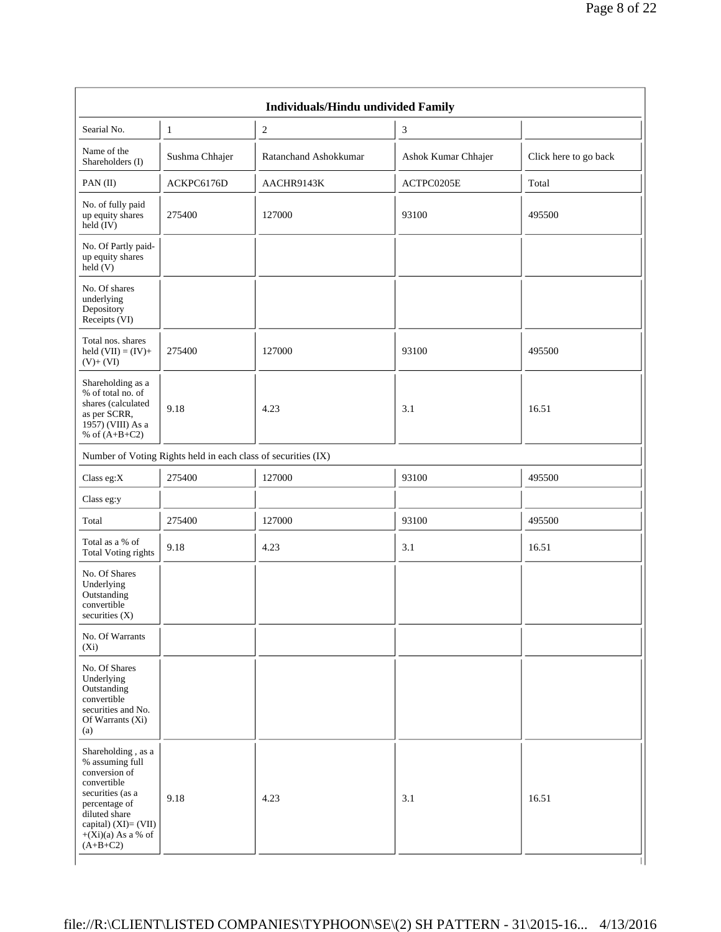|                                                                                                                                                                                           |                                                               | Individuals/Hindu undivided Family |                     |                       |  |
|-------------------------------------------------------------------------------------------------------------------------------------------------------------------------------------------|---------------------------------------------------------------|------------------------------------|---------------------|-----------------------|--|
| Searial No.                                                                                                                                                                               | $\mathbf{1}$                                                  | $\overline{c}$                     | 3                   |                       |  |
| Name of the<br>Shareholders (I)                                                                                                                                                           | Sushma Chhajer                                                | Ratanchand Ashokkumar              | Ashok Kumar Chhajer | Click here to go back |  |
| PAN(II)                                                                                                                                                                                   | ACKPC6176D                                                    | AACHR9143K                         | ACTPC0205E          | Total                 |  |
| No. of fully paid<br>up equity shares<br>$\text{held} (IV)$                                                                                                                               | 275400                                                        | 127000                             | 93100               | 495500                |  |
| No. Of Partly paid-<br>up equity shares<br>$\text{held}(V)$                                                                                                                               |                                                               |                                    |                     |                       |  |
| No. Of shares<br>underlying<br>Depository<br>Receipts (VI)                                                                                                                                |                                                               |                                    |                     |                       |  |
| Total nos. shares<br>held $(VII) = (IV) +$<br>$(V)+(VI)$                                                                                                                                  | 275400                                                        | 127000                             | 93100               | 495500                |  |
| Shareholding as a<br>% of total no. of<br>shares (calculated<br>as per SCRR,<br>1957) (VIII) As a<br>% of $(A+B+C2)$                                                                      | 9.18                                                          | 4.23                               | 3.1                 | 16.51                 |  |
|                                                                                                                                                                                           | Number of Voting Rights held in each class of securities (IX) |                                    |                     |                       |  |
| Class eg: $X$                                                                                                                                                                             | 275400                                                        | 127000                             | 93100               | 495500                |  |
| Class eg:y                                                                                                                                                                                |                                                               |                                    |                     |                       |  |
| Total                                                                                                                                                                                     | 275400                                                        | 127000                             | 93100               | 495500                |  |
| Total as a % of<br><b>Total Voting rights</b>                                                                                                                                             | 9.18                                                          | 4.23                               | 3.1                 | 16.51                 |  |
| No. Of Shares<br>Underlying<br>Outstanding<br>convertible<br>securities (X)                                                                                                               |                                                               |                                    |                     |                       |  |
| No. Of Warrants<br>$(X_i)$                                                                                                                                                                |                                                               |                                    |                     |                       |  |
| No. Of Shares<br>Underlying<br>Outstanding<br>convertible<br>securities and No.<br>Of Warrants (Xi)<br>(a)                                                                                |                                                               |                                    |                     |                       |  |
| Shareholding, as a<br>% assuming full<br>conversion of<br>convertible<br>securities (as a<br>percentage of<br>diluted share<br>capital) (XI)= (VII)<br>$+(Xi)(a)$ As a % of<br>$(A+B+C2)$ | 9.18                                                          | 4.23                               | 3.1                 | 16.51                 |  |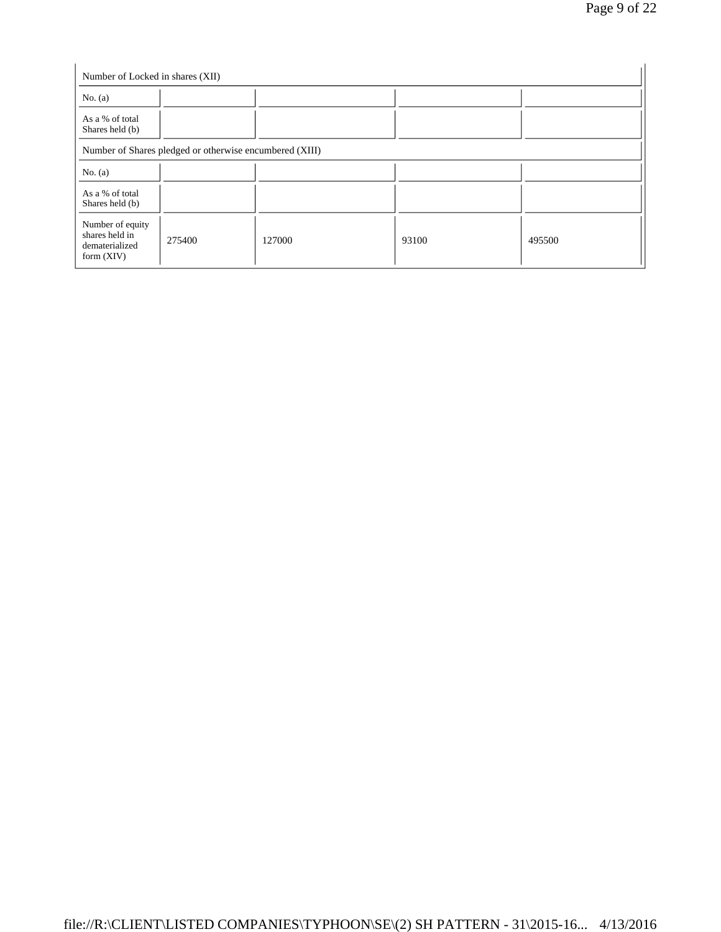| Number of Locked in shares (XII)                                     |                                                         |        |       |        |
|----------------------------------------------------------------------|---------------------------------------------------------|--------|-------|--------|
| No. $(a)$                                                            |                                                         |        |       |        |
| As a % of total<br>Shares held (b)                                   |                                                         |        |       |        |
|                                                                      | Number of Shares pledged or otherwise encumbered (XIII) |        |       |        |
| No. $(a)$                                                            |                                                         |        |       |        |
| As a % of total<br>Shares held (b)                                   |                                                         |        |       |        |
| Number of equity<br>shares held in<br>dematerialized<br>form $(XIV)$ | 275400                                                  | 127000 | 93100 | 495500 |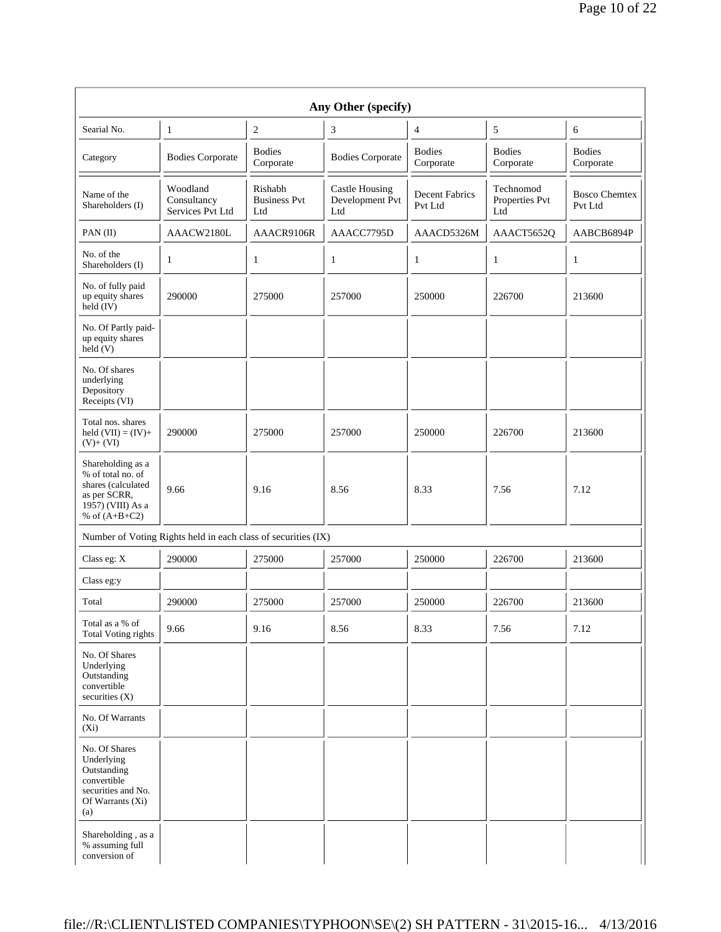| Any Other (specify)                                                                                                  |                                                               |                                       |                                                 |                                  |                                    |                                 |
|----------------------------------------------------------------------------------------------------------------------|---------------------------------------------------------------|---------------------------------------|-------------------------------------------------|----------------------------------|------------------------------------|---------------------------------|
| Searial No.                                                                                                          | 1                                                             | $\overline{2}$                        | 3                                               | $\overline{4}$                   | $\sqrt{5}$                         | 6                               |
| Category                                                                                                             | <b>Bodies Corporate</b>                                       | <b>Bodies</b><br>Corporate            | <b>Bodies Corporate</b>                         | <b>Bodies</b><br>Corporate       | <b>Bodies</b><br>Corporate         | <b>Bodies</b><br>Corporate      |
| Name of the<br>Shareholders (I)                                                                                      | Woodland<br>Consultancy<br>Services Pvt Ltd                   | Rishabh<br><b>Business Pvt</b><br>Ltd | <b>Castle Housing</b><br>Development Pvt<br>Ltd | <b>Decent Fabrics</b><br>Pvt Ltd | Technomod<br>Properties Pvt<br>Ltd | <b>Bosco Chemtex</b><br>Pvt Ltd |
| PAN(II)                                                                                                              | AAACW2180L                                                    | AAACR9106R                            | AAACC7795D                                      | AAACD5326M                       | AAACT5652Q                         | AABCB6894P                      |
| No. of the<br>Shareholders (I)                                                                                       | 1                                                             | 1                                     | 1                                               | 1                                | 1                                  | 1                               |
| No. of fully paid<br>up equity shares<br>held $(IV)$                                                                 | 290000                                                        | 275000                                | 257000                                          | 250000                           | 226700                             | 213600                          |
| No. Of Partly paid-<br>up equity shares<br>$\text{held}$ (V)                                                         |                                                               |                                       |                                                 |                                  |                                    |                                 |
| No. Of shares<br>underlying<br>Depository<br>Receipts (VI)                                                           |                                                               |                                       |                                                 |                                  |                                    |                                 |
| Total nos, shares<br>held $(VII) = (IV) +$<br>$(V)+(VI)$                                                             | 290000                                                        | 275000                                | 257000                                          | 250000                           | 226700                             | 213600                          |
| Shareholding as a<br>% of total no. of<br>shares (calculated<br>as per SCRR,<br>1957) (VIII) As a<br>% of $(A+B+C2)$ | 9.66                                                          | 9.16                                  | 8.56                                            | 8.33                             | 7.56                               | 7.12                            |
|                                                                                                                      | Number of Voting Rights held in each class of securities (IX) |                                       |                                                 |                                  |                                    |                                 |
| Class eg: X                                                                                                          | 290000                                                        | 275000                                | 257000                                          | 250000                           | 226700                             | 213600                          |
| Class eg:y                                                                                                           |                                                               |                                       |                                                 |                                  |                                    |                                 |
| Total                                                                                                                | 290000                                                        | 275000                                | 257000                                          | 250000                           | 226700                             | 213600                          |
| Total as a % of<br><b>Total Voting rights</b>                                                                        | 9.66                                                          | 9.16                                  | 8.56                                            | 8.33                             | 7.56                               | 7.12                            |
| No. Of Shares<br>Underlying<br>Outstanding<br>convertible<br>securities (X)                                          |                                                               |                                       |                                                 |                                  |                                    |                                 |
| No. Of Warrants<br>$(X_i)$                                                                                           |                                                               |                                       |                                                 |                                  |                                    |                                 |
| No. Of Shares<br>Underlying<br>Outstanding<br>convertible<br>securities and No.<br>Of Warrants (Xi)<br>(a)           |                                                               |                                       |                                                 |                                  |                                    |                                 |
| Shareholding, as a<br>% assuming full<br>conversion of                                                               |                                                               |                                       |                                                 |                                  |                                    |                                 |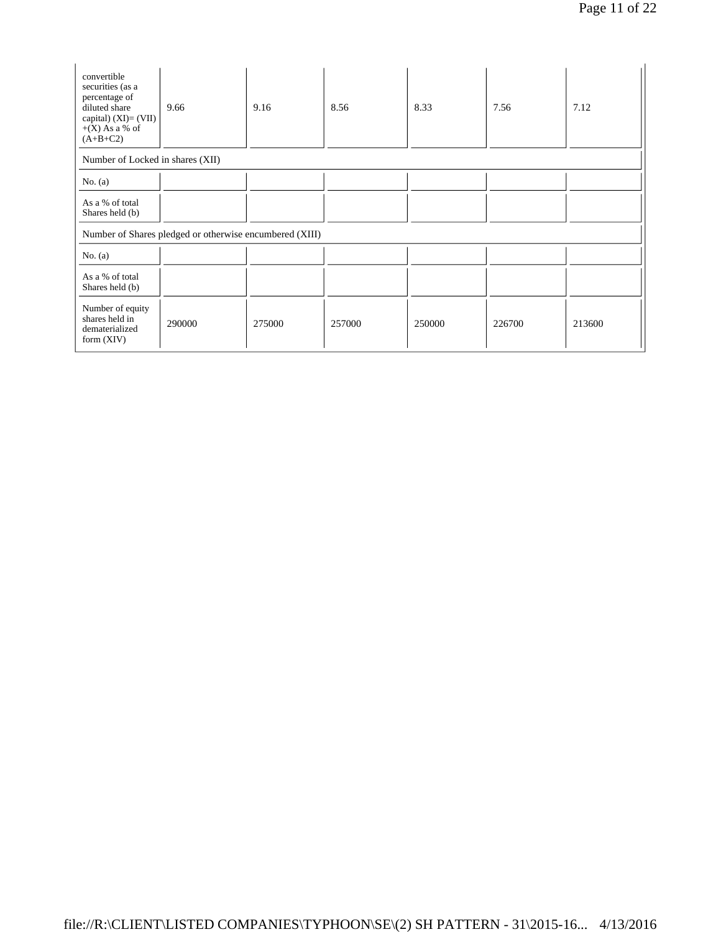| convertible<br>securities (as a<br>percentage of<br>diluted share<br>capital) $(XI) = (VII)$ | 9.66                                                    | 9.16   | 8.56   | 8.33   | 7.56   | 7.12   |
|----------------------------------------------------------------------------------------------|---------------------------------------------------------|--------|--------|--------|--------|--------|
| $+(X)$ As a % of<br>$(A+B+C2)$                                                               |                                                         |        |        |        |        |        |
| Number of Locked in shares (XII)                                                             |                                                         |        |        |        |        |        |
| No. $(a)$                                                                                    |                                                         |        |        |        |        |        |
| As a % of total<br>Shares held (b)                                                           |                                                         |        |        |        |        |        |
|                                                                                              | Number of Shares pledged or otherwise encumbered (XIII) |        |        |        |        |        |
| No. $(a)$                                                                                    |                                                         |        |        |        |        |        |
| As a % of total<br>Shares held (b)                                                           |                                                         |        |        |        |        |        |
| Number of equity<br>shares held in<br>dematerialized<br>form $(XIV)$                         | 290000                                                  | 275000 | 257000 | 250000 | 226700 | 213600 |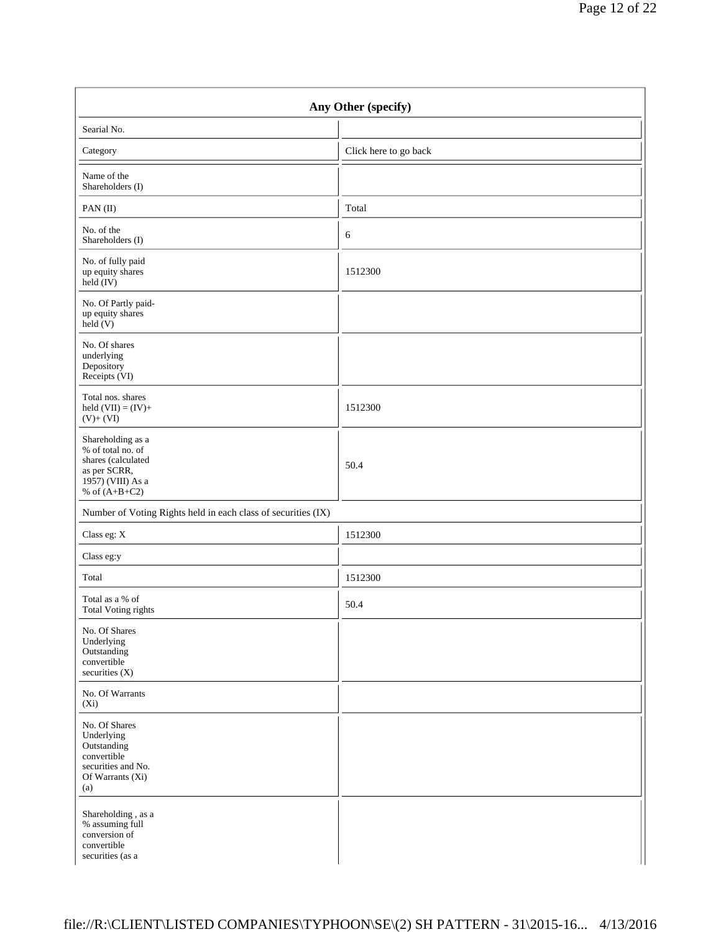| Any Other (specify)                                                                                                  |                       |  |  |  |  |
|----------------------------------------------------------------------------------------------------------------------|-----------------------|--|--|--|--|
| Searial No.                                                                                                          |                       |  |  |  |  |
| Category                                                                                                             | Click here to go back |  |  |  |  |
| Name of the<br>Shareholders (I)                                                                                      |                       |  |  |  |  |
| PAN(II)                                                                                                              | Total                 |  |  |  |  |
| No. of the<br>Shareholders (I)                                                                                       | 6                     |  |  |  |  |
| No. of fully paid<br>up equity shares<br>$held$ (IV)                                                                 | 1512300               |  |  |  |  |
| No. Of Partly paid-<br>up equity shares<br>held(V)                                                                   |                       |  |  |  |  |
| No. Of shares<br>underlying<br>Depository<br>Receipts (VI)                                                           |                       |  |  |  |  |
| Total nos. shares<br>held $(VII) = (IV) +$<br>$(V)+(VI)$                                                             | 1512300               |  |  |  |  |
| Shareholding as a<br>% of total no. of<br>shares (calculated<br>as per SCRR,<br>1957) (VIII) As a<br>% of $(A+B+C2)$ | 50.4                  |  |  |  |  |
| Number of Voting Rights held in each class of securities (IX)                                                        |                       |  |  |  |  |
| Class eg: X                                                                                                          | 1512300               |  |  |  |  |
| Class eg:y                                                                                                           |                       |  |  |  |  |
| Total                                                                                                                | 1512300               |  |  |  |  |
| Total as a % of<br><b>Total Voting rights</b>                                                                        | 50.4                  |  |  |  |  |
| No. Of Shares<br>Underlying<br>Outstanding<br>convertible<br>securities $(X)$                                        |                       |  |  |  |  |
| No. Of Warrants<br>$(X_i)$                                                                                           |                       |  |  |  |  |
| No. Of Shares<br>Underlying<br>Outstanding<br>convertible<br>securities and No.<br>Of Warrants (Xi)<br>(a)           |                       |  |  |  |  |
| Shareholding, as a<br>% assuming full<br>conversion of<br>convertible<br>securities (as a                            |                       |  |  |  |  |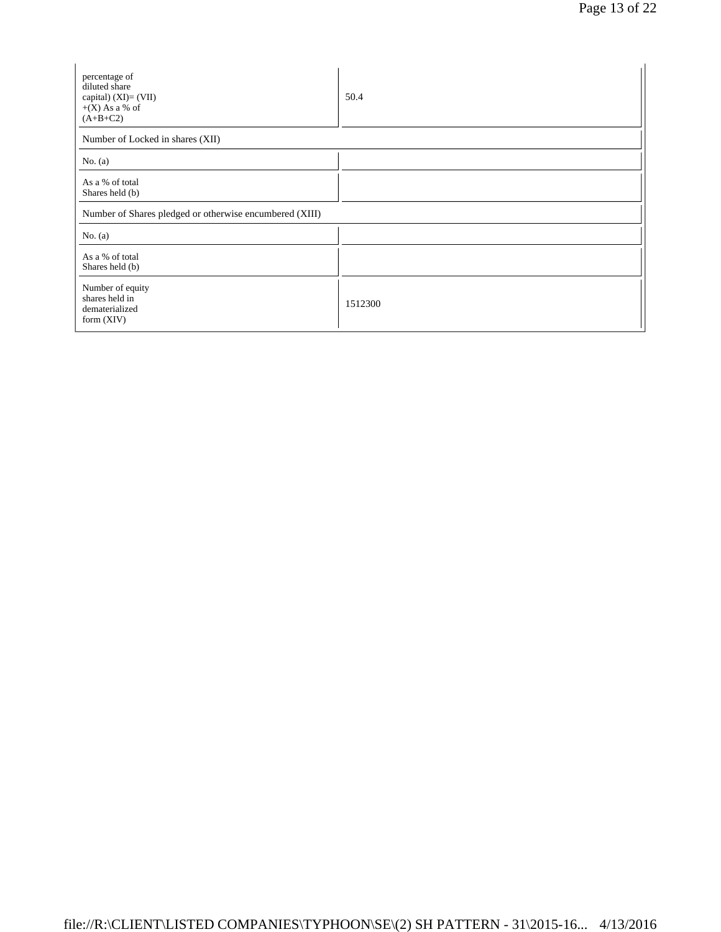| percentage of<br>diluted share<br>capital) (XI)= (VII)<br>$+(X)$ As a % of<br>$(A+B+C2)$ | 50.4    |  |  |  |  |
|------------------------------------------------------------------------------------------|---------|--|--|--|--|
| Number of Locked in shares (XII)                                                         |         |  |  |  |  |
| No. $(a)$                                                                                |         |  |  |  |  |
| As a % of total<br>Shares held (b)                                                       |         |  |  |  |  |
| Number of Shares pledged or otherwise encumbered (XIII)                                  |         |  |  |  |  |
| No. $(a)$                                                                                |         |  |  |  |  |
| As a % of total<br>Shares held (b)                                                       |         |  |  |  |  |
| Number of equity<br>shares held in<br>dematerialized<br>form $(XIV)$                     | 1512300 |  |  |  |  |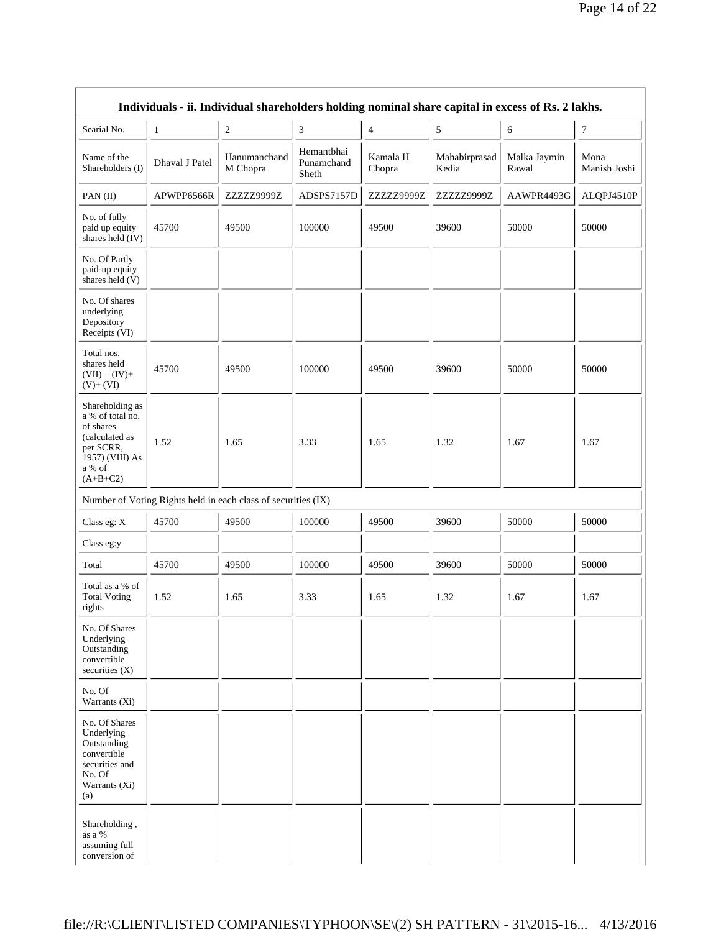|                                                                                                                            | Individuals - ii. Individual shareholders holding nominal share capital in excess of Rs. 2 lakhs. |                                                               |                                   |                    |                        |                       |                      |
|----------------------------------------------------------------------------------------------------------------------------|---------------------------------------------------------------------------------------------------|---------------------------------------------------------------|-----------------------------------|--------------------|------------------------|-----------------------|----------------------|
| Searial No.                                                                                                                | $\mathbf{1}$                                                                                      | $\boldsymbol{2}$                                              | 3                                 | $\overline{4}$     | 5                      | 6                     | $\tau$               |
| Name of the<br>Shareholders (I)                                                                                            | Dhaval J Patel                                                                                    | Hanumanchand<br>M Chopra                                      | Hemantbhai<br>Punamchand<br>Sheth | Kamala H<br>Chopra | Mahabirprasad<br>Kedia | Malka Jaymin<br>Rawal | Mona<br>Manish Joshi |
| PAN(II)                                                                                                                    | APWPP6566R                                                                                        | ZZZZZ9999Z                                                    | ADSPS7157D                        | ZZZZZ9999Z         | ZZZZZ9999Z             | AAWPR4493G            | ALQPJ4510P           |
| No. of fully<br>paid up equity<br>shares held (IV)                                                                         | 45700                                                                                             | 49500                                                         | 100000                            | 49500              | 39600                  | 50000                 | 50000                |
| No. Of Partly<br>paid-up equity<br>shares held (V)                                                                         |                                                                                                   |                                                               |                                   |                    |                        |                       |                      |
| No. Of shares<br>underlying<br>Depository<br>Receipts (VI)                                                                 |                                                                                                   |                                                               |                                   |                    |                        |                       |                      |
| Total nos.<br>shares held<br>$(VII) = (IV) +$<br>$(V)+(VI)$                                                                | 45700                                                                                             | 49500                                                         | 100000                            | 49500              | 39600                  | 50000                 | 50000                |
| Shareholding as<br>a % of total no.<br>of shares<br>(calculated as<br>per SCRR,<br>1957) (VIII) As<br>a % of<br>$(A+B+C2)$ | 1.52                                                                                              | 1.65                                                          | 3.33                              | 1.65               | 1.32                   | 1.67                  | 1.67                 |
|                                                                                                                            |                                                                                                   | Number of Voting Rights held in each class of securities (IX) |                                   |                    |                        |                       |                      |
| Class eg: X                                                                                                                | 45700                                                                                             | 49500                                                         | 100000                            | 49500              | 39600                  | 50000                 | 50000                |
| Class eg:y                                                                                                                 |                                                                                                   |                                                               |                                   |                    |                        |                       |                      |
| Total                                                                                                                      | 45700                                                                                             | 49500                                                         | 100000                            | 49500              | 39600                  | 50000                 | 50000                |
| Total as a % of<br><b>Total Voting</b><br>rights                                                                           | 1.52                                                                                              | 1.65                                                          | 3.33                              | 1.65               | 1.32                   | 1.67                  | 1.67                 |
| No. Of Shares<br>Underlying<br>Outstanding<br>convertible<br>securities (X)                                                |                                                                                                   |                                                               |                                   |                    |                        |                       |                      |
| No. Of<br>Warrants (Xi)                                                                                                    |                                                                                                   |                                                               |                                   |                    |                        |                       |                      |
| No. Of Shares<br>Underlying<br>Outstanding<br>convertible<br>securities and<br>No. Of<br>Warrants (Xi)<br>(a)              |                                                                                                   |                                                               |                                   |                    |                        |                       |                      |
| Shareholding,<br>as a %<br>assuming full<br>conversion of                                                                  |                                                                                                   |                                                               |                                   |                    |                        |                       |                      |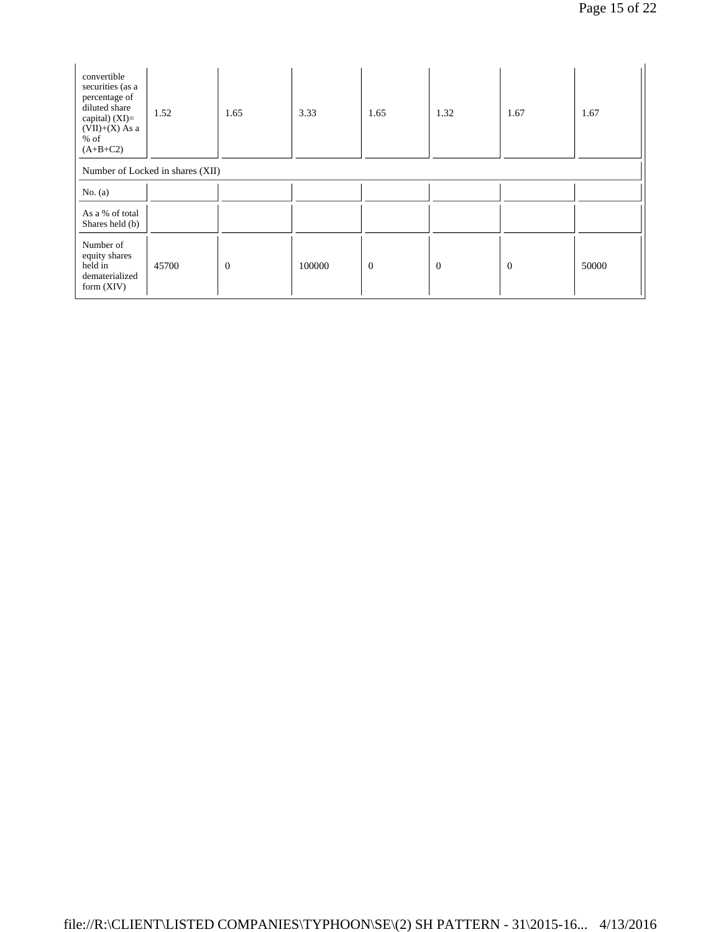| convertible<br>securities (as a<br>percentage of<br>diluted share<br>capital) $(XI)=$<br>$(VII)+(X)$ As a<br>$%$ of<br>$(A+B+C2)$ | 1.52                             | 1.65             | 3.33   | 1.65         | 1.32           | 1.67           | 1.67  |
|-----------------------------------------------------------------------------------------------------------------------------------|----------------------------------|------------------|--------|--------------|----------------|----------------|-------|
|                                                                                                                                   | Number of Locked in shares (XII) |                  |        |              |                |                |       |
| No. $(a)$                                                                                                                         |                                  |                  |        |              |                |                |       |
| As a % of total<br>Shares held (b)                                                                                                |                                  |                  |        |              |                |                |       |
| Number of<br>equity shares<br>held in<br>dematerialized<br>form $(XIV)$                                                           | 45700                            | $\boldsymbol{0}$ | 100000 | $\mathbf{0}$ | $\overline{0}$ | $\overline{0}$ | 50000 |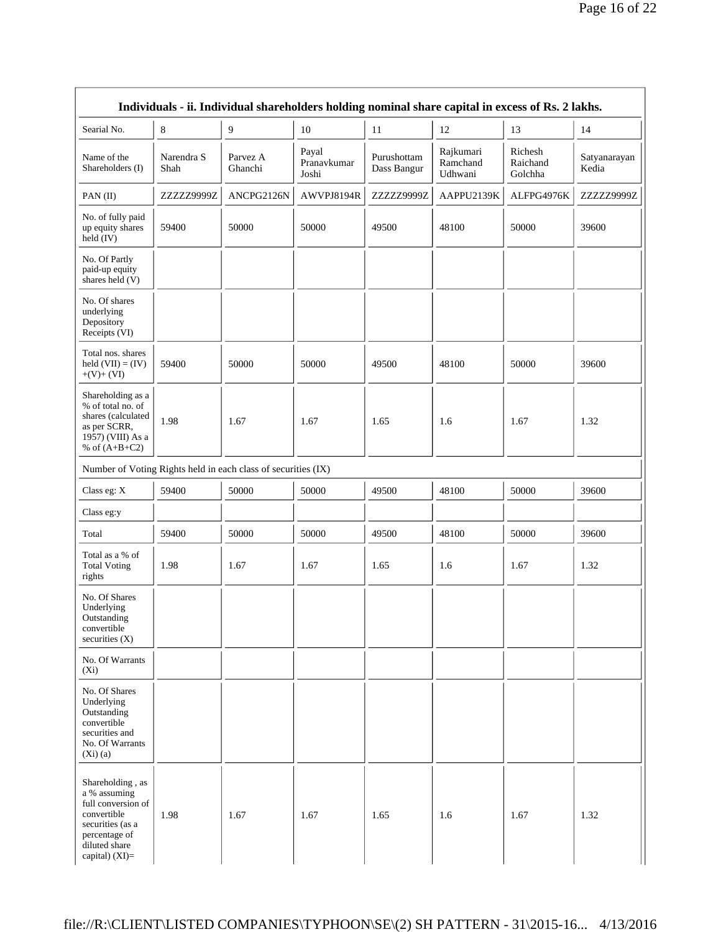|                                                                                                                                               | Individuals - ii. Individual shareholders holding nominal share capital in excess of Rs. 2 lakhs. |                     |                               |                            |                                  |                                |                       |
|-----------------------------------------------------------------------------------------------------------------------------------------------|---------------------------------------------------------------------------------------------------|---------------------|-------------------------------|----------------------------|----------------------------------|--------------------------------|-----------------------|
| Searial No.                                                                                                                                   | 8                                                                                                 | 9                   | 10                            | 11                         | 12                               | 13                             | 14                    |
| Name of the<br>Shareholders (I)                                                                                                               | Narendra S<br>Shah                                                                                | Parvez A<br>Ghanchi | Payal<br>Pranavkumar<br>Joshi | Purushottam<br>Dass Bangur | Rajkumari<br>Ramchand<br>Udhwani | Richesh<br>Raichand<br>Golchha | Satyanarayan<br>Kedia |
| PAN(II)                                                                                                                                       | ZZZZZ9999Z                                                                                        | ANCPG2126N          | AWVPJ8194R                    | ZZZZZ9999Z                 | AAPPU2139K                       | ALFPG4976K                     | ZZZZZ9999Z            |
| No. of fully paid<br>up equity shares<br>held (IV)                                                                                            | 59400                                                                                             | 50000               | 50000                         | 49500                      | 48100                            | 50000                          | 39600                 |
| No. Of Partly<br>paid-up equity<br>shares held (V)                                                                                            |                                                                                                   |                     |                               |                            |                                  |                                |                       |
| No. Of shares<br>underlying<br>Depository<br>Receipts (VI)                                                                                    |                                                                                                   |                     |                               |                            |                                  |                                |                       |
| Total nos. shares<br>held $(VII) = (IV)$<br>$+(V)+(VI)$                                                                                       | 59400                                                                                             | 50000               | 50000                         | 49500                      | 48100                            | 50000                          | 39600                 |
| Shareholding as a<br>% of total no. of<br>shares (calculated<br>as per SCRR,<br>1957) (VIII) As a<br>% of $(A+B+C2)$                          | 1.98                                                                                              | 1.67                | 1.67                          | 1.65                       | 1.6                              | 1.67                           | 1.32                  |
| Number of Voting Rights held in each class of securities (IX)                                                                                 |                                                                                                   |                     |                               |                            |                                  |                                |                       |
| Class eg: $X$                                                                                                                                 | 59400                                                                                             | 50000               | 50000                         | 49500                      | 48100                            | 50000                          | 39600                 |
| Class eg:y                                                                                                                                    |                                                                                                   |                     |                               |                            |                                  |                                |                       |
| Total                                                                                                                                         | 59400                                                                                             | 50000               | 50000                         | 49500                      | 48100                            | 50000                          | 39600                 |
| Total as a % of<br><b>Total Voting</b><br>rights                                                                                              | 1.98                                                                                              | 1.67                | 1.67                          | 1.65                       | 1.6                              | 1.67                           | 1.32                  |
| No. Of Shares<br>Underlying<br>Outstanding<br>convertible<br>securities $(X)$                                                                 |                                                                                                   |                     |                               |                            |                                  |                                |                       |
| No. Of Warrants<br>$(X_i)$                                                                                                                    |                                                                                                   |                     |                               |                            |                                  |                                |                       |
| No. Of Shares<br>Underlying<br>Outstanding<br>convertible<br>securities and<br>No. Of Warrants<br>(Xi)(a)                                     |                                                                                                   |                     |                               |                            |                                  |                                |                       |
| Shareholding, as<br>a % assuming<br>full conversion of<br>convertible<br>securities (as a<br>percentage of<br>diluted share<br>capital) (XI)= | 1.98                                                                                              | 1.67                | 1.67                          | 1.65                       | 1.6                              | 1.67                           | 1.32                  |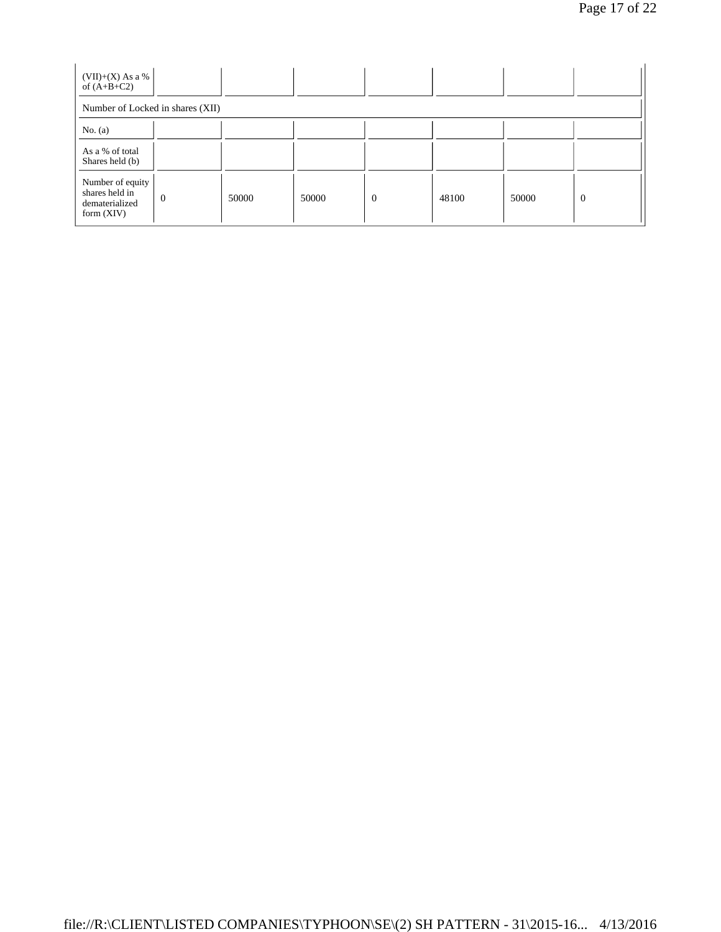| (VII)+(X) As a %<br>of $(A+B+C2)$                                    |                                  |       |       |                |       |       |                |  |
|----------------------------------------------------------------------|----------------------------------|-------|-------|----------------|-------|-------|----------------|--|
|                                                                      | Number of Locked in shares (XII) |       |       |                |       |       |                |  |
| No. $(a)$                                                            |                                  |       |       |                |       |       |                |  |
| As a % of total<br>Shares held (b)                                   |                                  |       |       |                |       |       |                |  |
| Number of equity<br>shares held in<br>dematerialized<br>form $(XIV)$ | $\theta$                         | 50000 | 50000 | $\overline{0}$ | 48100 | 50000 | $\overline{0}$ |  |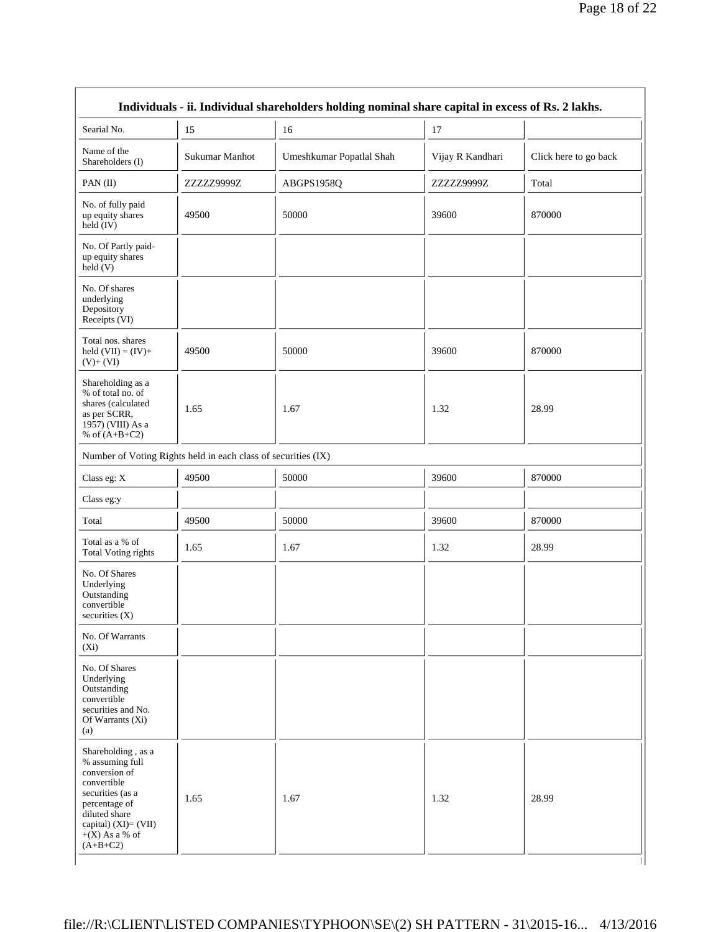| Searial No.                                                                                                                                                                            | 15                                                            | 16                       | 17               |                       |
|----------------------------------------------------------------------------------------------------------------------------------------------------------------------------------------|---------------------------------------------------------------|--------------------------|------------------|-----------------------|
| Name of the<br>Shareholders (I)                                                                                                                                                        | Sukumar Manhot                                                | Umeshkumar Popatlal Shah | Vijay R Kandhari | Click here to go back |
| PAN(II)                                                                                                                                                                                | ZZZZZ9999Z                                                    | ABGPS1958Q               | ZZZZZ9999Z       | Total                 |
| No. of fully paid<br>up equity shares<br>$\text{held} (IV)$                                                                                                                            | 49500                                                         | 50000                    | 39600            | 870000                |
| No. Of Partly paid-<br>up equity shares<br>held (V)                                                                                                                                    |                                                               |                          |                  |                       |
| No. Of shares<br>underlying<br>Depository<br>Receipts (VI)                                                                                                                             |                                                               |                          |                  |                       |
| Total nos. shares<br>held $(VII) = (IV) +$<br>$(V)+(VI)$                                                                                                                               | 49500                                                         | 50000                    | 39600            | 870000                |
| Shareholding as a<br>% of total no. of<br>shares (calculated<br>as per SCRR,<br>1957) (VIII) As a<br>% of $(A+B+C2)$                                                                   | 1.65                                                          | 1.67                     | 1.32             | 28.99                 |
|                                                                                                                                                                                        | Number of Voting Rights held in each class of securities (IX) |                          |                  |                       |
| Class eg: X                                                                                                                                                                            | 49500                                                         | 50000                    | 39600            | 870000                |
| Class eg:y                                                                                                                                                                             |                                                               |                          |                  |                       |
| Total                                                                                                                                                                                  | 49500                                                         | 50000                    | 39600            | 870000                |
| Total as a % of<br>Total Voting rights                                                                                                                                                 | 1.65                                                          | 1.67                     | 1.32             | 28.99                 |
| No. Of Shares<br>Underlying<br>Outstanding<br>convertible<br>securities $(X)$                                                                                                          |                                                               |                          |                  |                       |
| No. Of Warrants<br>$(X_i)$                                                                                                                                                             |                                                               |                          |                  |                       |
| No. Of Shares<br>Underlying<br>Outstanding<br>convertible<br>securities and No.<br>Of Warrants (Xi)<br>(a)                                                                             |                                                               |                          |                  |                       |
| Shareholding, as a<br>% assuming full<br>conversion of<br>convertible<br>securities (as a<br>percentage of<br>diluted share<br>capital) $(XI)=(VII)$<br>$+(X)$ As a % of<br>$(A+B+C2)$ | 1.65                                                          | 1.67                     | 1.32             | 28.99                 |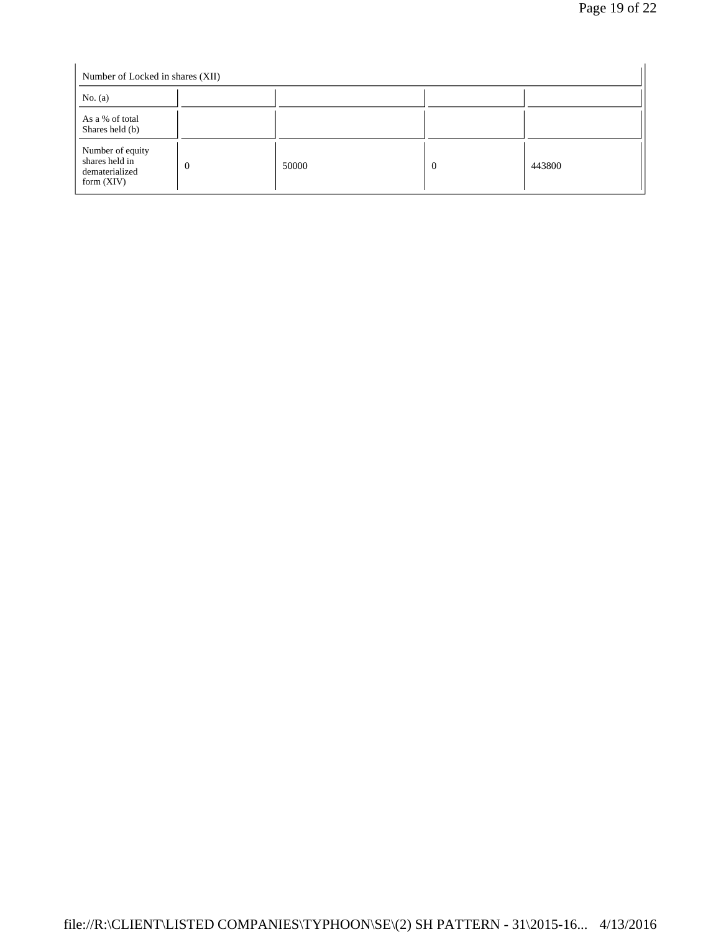| Number of Locked in shares (XII)                                     |          |       |          |        |  |  |
|----------------------------------------------------------------------|----------|-------|----------|--------|--|--|
| No. $(a)$                                                            |          |       |          |        |  |  |
| As a % of total<br>Shares held (b)                                   |          |       |          |        |  |  |
| Number of equity<br>shares held in<br>dematerialized<br>form $(XIV)$ | $\Omega$ | 50000 | $\Omega$ | 443800 |  |  |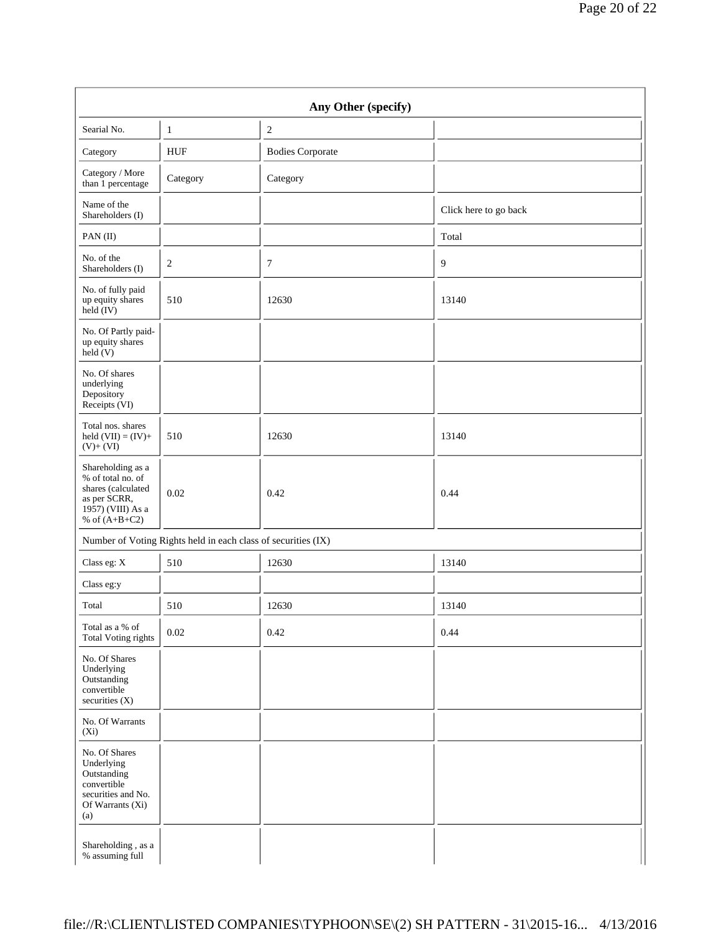|                                                                                                                      |                                                               | Any Other (specify)     |                       |
|----------------------------------------------------------------------------------------------------------------------|---------------------------------------------------------------|-------------------------|-----------------------|
| Searial No.                                                                                                          | $\mathbf{1}$                                                  | $\sqrt{2}$              |                       |
| Category                                                                                                             | <b>HUF</b>                                                    | <b>Bodies Corporate</b> |                       |
| Category / More<br>than 1 percentage                                                                                 | Category                                                      | Category                |                       |
| Name of the<br>Shareholders (I)                                                                                      |                                                               |                         | Click here to go back |
| PAN(II)                                                                                                              |                                                               |                         | Total                 |
| No. of the<br>Shareholders (I)                                                                                       | $\sqrt{2}$                                                    | $\overline{7}$          | 9                     |
| No. of fully paid<br>up equity shares<br>held (IV)                                                                   | 510                                                           | 12630                   | 13140                 |
| No. Of Partly paid-<br>up equity shares<br>held(V)                                                                   |                                                               |                         |                       |
| No. Of shares<br>underlying<br>Depository<br>Receipts (VI)                                                           |                                                               |                         |                       |
| Total nos. shares<br>held $(VII) = (IV) +$<br>$(V)+(VI)$                                                             | 510                                                           | 12630                   | 13140                 |
| Shareholding as a<br>% of total no. of<br>shares (calculated<br>as per SCRR,<br>1957) (VIII) As a<br>% of $(A+B+C2)$ | 0.02                                                          | 0.42                    | 0.44                  |
|                                                                                                                      | Number of Voting Rights held in each class of securities (IX) |                         |                       |
| Class eg: X                                                                                                          | 510                                                           | 12630                   | 13140                 |
| Class eg:y                                                                                                           |                                                               |                         |                       |
| Total                                                                                                                | 510                                                           | 12630                   | 13140                 |
| Total as a % of<br><b>Total Voting rights</b>                                                                        | $0.02\,$                                                      | 0.42                    | 0.44                  |
| No. Of Shares<br>Underlying<br>Outstanding<br>convertible<br>securities (X)                                          |                                                               |                         |                       |
| No. Of Warrants<br>$(X_i)$                                                                                           |                                                               |                         |                       |
| No. Of Shares<br>Underlying<br>Outstanding<br>convertible<br>securities and No.<br>Of Warrants (Xi)<br>(a)           |                                                               |                         |                       |
| Shareholding, as a<br>% assuming full                                                                                |                                                               |                         |                       |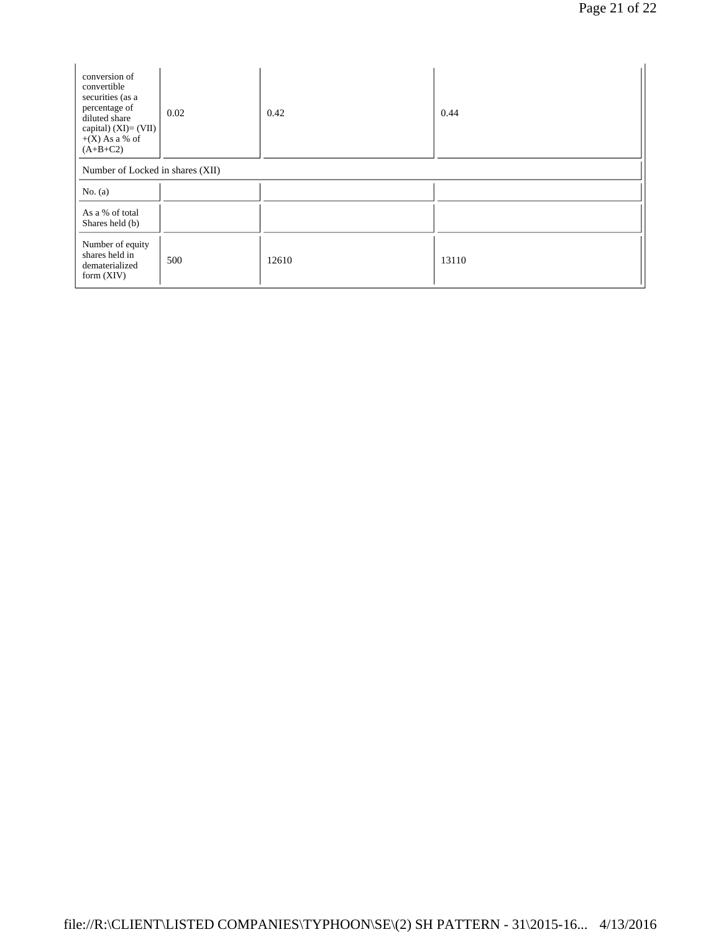| conversion of<br>convertible<br>securities (as a<br>percentage of<br>diluted share<br>capital) $(XI) = (VII)$<br>$+(X)$ As a % of<br>$(A+B+C2)$ | 0.02 | 0.42  | 0.44  |
|-------------------------------------------------------------------------------------------------------------------------------------------------|------|-------|-------|
| Number of Locked in shares (XII)                                                                                                                |      |       |       |
| No. $(a)$                                                                                                                                       |      |       |       |
| As a % of total<br>Shares held (b)                                                                                                              |      |       |       |
| Number of equity<br>shares held in<br>dematerialized<br>form $(XIV)$                                                                            | 500  | 12610 | 13110 |